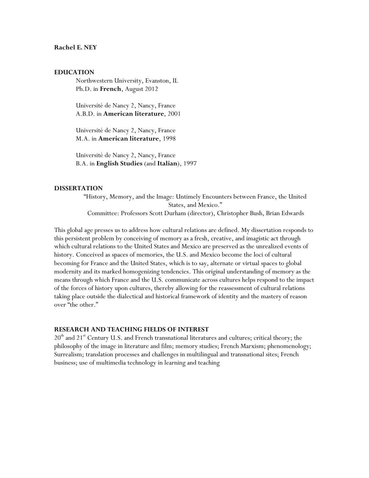### **Rachel E. NEY**

### **EDUCATION**

Northwestern University, Evanston, IL Ph.D. in **French**, August 2012

Université de Nancy 2, Nancy, France A.B.D. in **American literature**, 2001

Université de Nancy 2, Nancy, France M.A. in **American literature**, 1998

Université de Nancy 2, Nancy, France B.A. in **English Studies** (and **Italian**), 1997

### **DISSERTATION**

"History, Memory, and the Image: Untimely Encounters between France, the United States, and Mexico." Committee: Professors Scott Durham (director), Christopher Bush, Brian Edwards

This global age presses us to address how cultural relations are defined. My dissertation responds to this persistent problem by conceiving of memory as a fresh, creative, and imagistic act through which cultural relations to the United States and Mexico are preserved as the unrealized events of history. Conceived as spaces of memories, the U.S. and Mexico become the loci of cultural becoming for France and the United States, which is to say, alternate or virtual spaces to global modernity and its marked homogenizing tendencies. This original understanding of memory as the means through which France and the U.S. communicate across cultures helps respond to the impact of the forces of history upon cultures, thereby allowing for the reassessment of cultural relations taking place outside the dialectical and historical framework of identity and the mastery of reason over "the other."

## **RESEARCH AND TEACHING FIELDS OF INTEREST**

20<sup>th</sup> and 21<sup>st</sup> Century U.S. and French transnational literatures and cultures; critical theory; the philosophy of the image in literature and film; memory studies; French Marxism; phenomenology; Surrealism; translation processes and challenges in multilingual and transnational sites; French business; use of multimedia technology in learning and teaching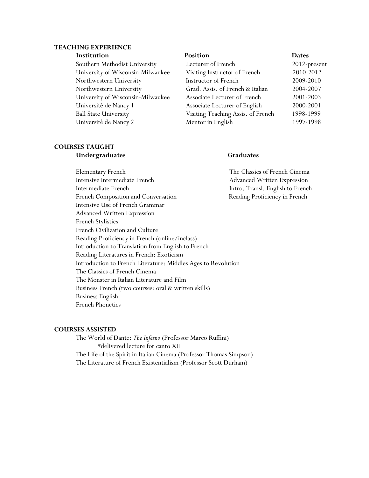# **TEACHING EXPERIENCE**

### **Institution Position Dates**

Southern Methodist University Lecturer of French 2012-present University of Wisconsin-Milwaukee Visiting Instructor of French 2010-2012 Northwestern University Instructor of French 2009-2010 Northwestern University Grad. Assis. of French & Italian 2004-2007 University of Wisconsin-Milwaukee Associate Lecturer of French 2001-2003 Université de Nancy 1 Associate Lecturer of English 2000-2001 Ball State University Visiting Teaching Assis. of French 1998-1999 Université de Nancy 2 Mentor in English 1997-1998

# **COURSES TAUGHT**

# **Undergraduates Graduates**

Elementary French The Classics of French Cinema Intensive Intermediate French Advanced Written Expression Intermediate French Intro. Transl. English to French French Composition and Conversation **Reading Proficiency in French** Intensive Use of French Grammar Advanced Written Expression French Stylistics French Civilization and Culture Reading Proficiency in French (online/inclass) Introduction to Translation from English to French Reading Literatures in French: Exoticism Introduction to French Literature: Middles Ages to Revolution The Classics of French Cinema The Monster in Italian Literature and Film Business French (two courses: oral & written skills) Business English French Phonetics

### **COURSES ASSISTED**

The World of Dante: *The Inferno* (Professor Marco Ruffini) \*delivered lecture for canto XIII The Life of the Spirit in Italian Cinema (Professor Thomas Simpson) The Literature of French Existentialism (Professor Scott Durham)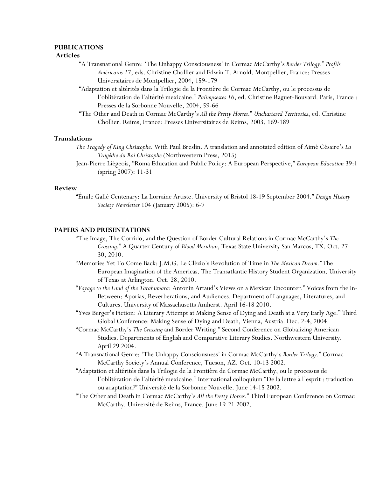### **PUBLICATIONS**

### **Articles**

- "A Transnational Genre: 'The Unhappy Consciousness' in Cormac McCarthy's *Border Trilogy.*" *Profils Américains 17*, eds. Christine Chollier and Edwin T. Arnold. Montpellier, France: Presses Universitaires de Montpellier, 2004, 159-179
- "Adaptation et altérités dans la Trilogie de la Frontière de Cormac McCarthy, ou le processus de l'oblitération de l'altérité mexicaine." *Palimpsestes 16*, ed. Christine Raguet-Bouvard. Paris, France : Presses de la Sorbonne Nouvelle, 2004, 59-66
- "The Other and Death in Cormac McCarthy's *All the Pretty Horses*." *Unchartered Territories*, ed. Christine Chollier. Reims, France: Presses Universitaires de Reims, 2003, 169-189

### **Translations**

- *The Tragedy of King Christophe.* With Paul Breslin. A translation and annotated edition of Aimé Césaire's *La Tragédie du Roi Christophe* (Northwestern Press, 2015)
- Jean-Pierre Liégeois, "Roma Education and Public Policy: A European Perspective," *European Education* 39:1 (spring 2007): 11-31

### **Review**

"Émile Gallé Centenary: La Lorraine Artiste. University of Bristol 18-19 September 2004." *Design History Society Newsletter* 104 (January 2005): 6-7

### **PAPERS AND PRESENTATIONS**

- "The Image, The Corrido, and the Question of Border Cultural Relations in Cormac McCarthy's *The Crossing.*" A Quarter Century of *Blood Meridian*, Texas State University San Marcos, TX. Oct. 27- 30, 2010.
- "Memories Yet To Come Back: J.M.G. Le Clézio's Revolution of Time in *The Mexican Dream."* The European Imagination of the Americas. The Transatlantic History Student Organization. University of Texas at Arlington. Oct. 28, 2010.
- "*Voyage to the Land of the Tarahumara*: Antonin Artaud's Views on a Mexican Encounter." Voices from the In-Between: Aporias, Reverberations, and Audiences. Department of Languages, Literatures, and Cultures. University of Massachusetts Amherst. April 16-18 2010.
- "Yves Berger's Fiction: A Literary Attempt at Making Sense of Dying and Death at a Very Early Age." Third Global Conference: Making Sense of Dying and Death, Vienna, Austria. Dec. 2-4, 2004.
- "Cormac McCarthy's *The Crossing* and Border Writing." Second Conference on Globalizing American Studies. Departments of English and Comparative Literary Studies. Northwestern University. April 29 2004.
- "A Transnational Genre: 'The Unhappy Consciousness' in Cormac McCarthy's *Border Trilogy.*" Cormac McCarthy Society's Annual Conference, Tucson, AZ. Oct. 10-13 2002.
- "Adaptation et altérités dans la Trilogie de la Frontière de Cormac McCarthy, ou le processus de l'oblitération de l'altérité mexicaine." International colloquium "De la lettre à l'esprit : traduction ou adaptation?" Université de la Sorbonne Nouvelle. June 14-15 2002.
- "The Other and Death in Cormac McCarthy's *All the Pretty Horses*." Third European Conference on Cormac McCarthy. Université de Reims, France. June 19-21 2002.